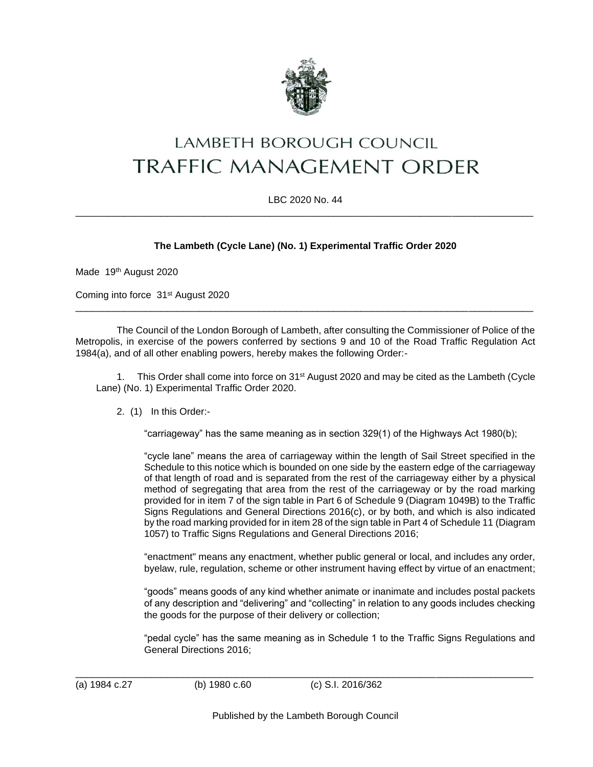

# **LAMBETH BOROUGH COUNCIL TRAFFIC MANAGEMENT ORDER**

#### LBC 2020 No. 44 \_\_\_\_\_\_\_\_\_\_\_\_\_\_\_\_\_\_\_\_\_\_\_\_\_\_\_\_\_\_\_\_\_\_\_\_\_\_\_\_\_\_\_\_\_\_\_\_\_\_\_\_\_\_\_\_\_\_\_\_\_\_\_\_\_\_\_\_\_\_\_\_\_\_\_\_\_\_\_\_\_\_\_\_\_

## **The Lambeth (Cycle Lane) (No. 1) Experimental Traffic Order 2020**

Made 19th August 2020

Coming into force 31st August 2020

The Council of the London Borough of Lambeth, after consulting the Commissioner of Police of the Metropolis, in exercise of the powers conferred by sections 9 and 10 of the Road Traffic Regulation Act 1984(a), and of all other enabling powers, hereby makes the following Order:-

\_\_\_\_\_\_\_\_\_\_\_\_\_\_\_\_\_\_\_\_\_\_\_\_\_\_\_\_\_\_\_\_\_\_\_\_\_\_\_\_\_\_\_\_\_\_\_\_\_\_\_\_\_\_\_\_\_\_\_\_\_\_\_\_\_\_\_\_\_\_\_\_\_\_\_\_\_\_\_\_\_\_\_\_\_

1. This Order shall come into force on 31<sup>st</sup> August 2020 and may be cited as the Lambeth (Cycle Lane) (No. 1) Experimental Traffic Order 2020.

2. (1) In this Order:-

"carriageway" has the same meaning as in section 329(1) of the Highways Act 1980(b);

"cycle lane" means the area of carriageway within the length of Sail Street specified in the Schedule to this notice which is bounded on one side by the eastern edge of the carriageway of that length of road and is separated from the rest of the carriageway either by a physical method of segregating that area from the rest of the carriageway or by the road marking provided for in item 7 of the sign table in Part 6 of Schedule 9 (Diagram 1049B) to the Traffic Signs Regulations and General Directions 2016(c), or by both, and which is also indicated by the road marking provided for in item 28 of the sign table in Part 4 of Schedule 11 (Diagram 1057) to Traffic Signs Regulations and General Directions 2016:

"enactment" means any enactment, whether public general or local, and includes any order, byelaw, rule, regulation, scheme or other instrument having effect by virtue of an enactment;

"goods" means goods of any kind whether animate or inanimate and includes postal packets of any description and "delivering" and "collecting" in relation to any goods includes checking the goods for the purpose of their delivery or collection;

"pedal cycle" has the same meaning as in Schedule 1 to the Traffic Signs Regulations and General Directions 2016;

\_\_\_\_\_\_\_\_\_\_\_\_\_\_\_\_\_\_\_\_\_\_\_\_\_\_\_\_\_\_\_\_\_\_\_\_\_\_\_\_\_\_\_\_\_\_\_\_\_\_\_\_\_\_\_\_\_\_\_\_\_\_\_\_\_\_\_\_\_\_\_\_\_\_\_\_\_\_\_\_\_\_\_\_\_